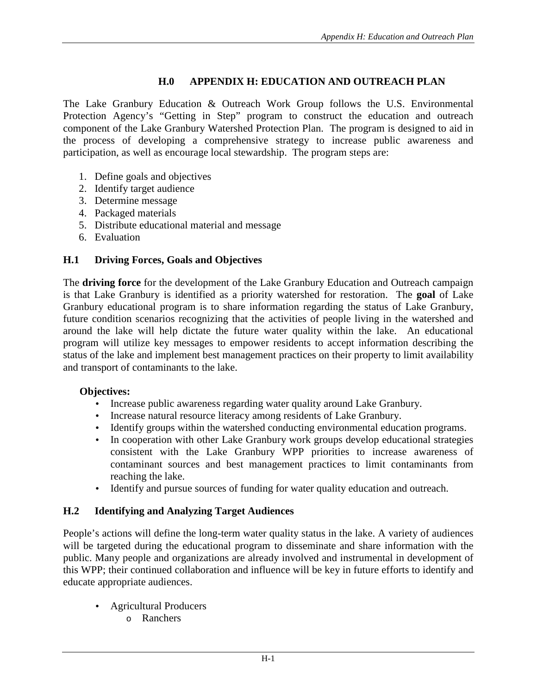## **H.0 APPENDIX H: EDUCATION AND OUTREACH PLAN**

The Lake Granbury Education & Outreach Work Group follows the U.S. Environmental Protection Agency's "Getting in Step" program to construct the education and outreach component of the Lake Granbury Watershed Protection Plan. The program is designed to aid in the process of developing a comprehensive strategy to increase public awareness and participation, as well as encourage local stewardship. The program steps are:

- 1. Define goals and objectives
- 2. Identify target audience
- 3. Determine message
- 4. Packaged materials
- 5. Distribute educational material and message
- 6. Evaluation

### **H.1 Driving Forces, Goals and Objectives**

The **driving force** for the development of the Lake Granbury Education and Outreach campaign is that Lake Granbury is identified as a priority watershed for restoration. The **goal** of Lake Granbury educational program is to share information regarding the status of Lake Granbury, future condition scenarios recognizing that the activities of people living in the watershed and around the lake will help dictate the future water quality within the lake. An educational program will utilize key messages to empower residents to accept information describing the status of the lake and implement best management practices on their property to limit availability and transport of contaminants to the lake.

#### **Objectives:**

- Increase public awareness regarding water quality around Lake Granbury.
- Increase natural resource literacy among residents of Lake Granbury.
- Identify groups within the watershed conducting environmental education programs.
- In cooperation with other Lake Granbury work groups develop educational strategies consistent with the Lake Granbury WPP priorities to increase awareness of contaminant sources and best management practices to limit contaminants from reaching the lake.
- Identify and pursue sources of funding for water quality education and outreach.

### **H.2 Identifying and Analyzing Target Audiences**

People's actions will define the long-term water quality status in the lake. A variety of audiences will be targeted during the educational program to disseminate and share information with the public. Many people and organizations are already involved and instrumental in development of this WPP; their continued collaboration and influence will be key in future efforts to identify and educate appropriate audiences.

- Agricultural Producers
	- o Ranchers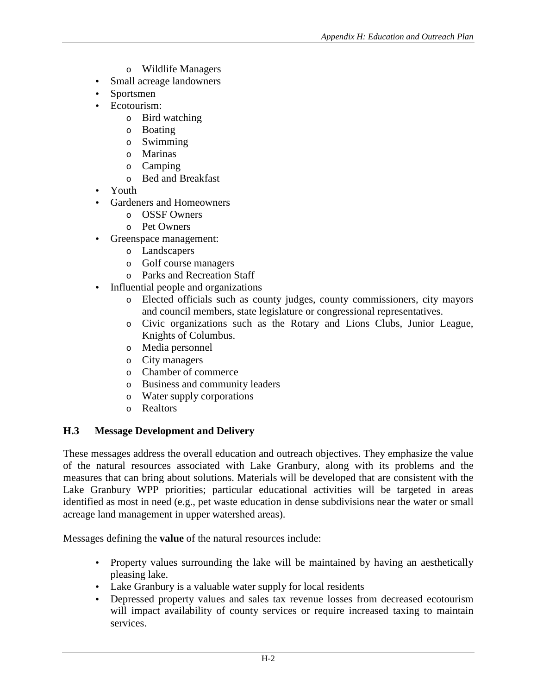- o Wildlife Managers
- Small acreage landowners
- Sportsmen
- Ecotourism:
	- o Bird watching
	- o Boating
	- o Swimming
	- o Marinas
	- o Camping
	- o Bed and Breakfast
- Youth
- Gardeners and Homeowners
	- o OSSF Owners
	- o Pet Owners
- Greenspace management:
	- o Landscapers
	- o Golf course managers
	- o Parks and Recreation Staff
- Influential people and organizations
	- o Elected officials such as county judges, county commissioners, city mayors and council members, state legislature or congressional representatives.
	- o Civic organizations such as the Rotary and Lions Clubs, Junior League, Knights of Columbus.
	- o Media personnel
	- o City managers
	- o Chamber of commerce
	- o Business and community leaders
	- o Water supply corporations
	- o Realtors

### **H.3 Message Development and Delivery**

These messages address the overall education and outreach objectives. They emphasize the value of the natural resources associated with Lake Granbury, along with its problems and the measures that can bring about solutions. Materials will be developed that are consistent with the Lake Granbury WPP priorities; particular educational activities will be targeted in areas identified as most in need (e.g., pet waste education in dense subdivisions near the water or small acreage land management in upper watershed areas).

Messages defining the **value** of the natural resources include:

- Property values surrounding the lake will be maintained by having an aesthetically pleasing lake.
- Lake Granbury is a valuable water supply for local residents
- Depressed property values and sales tax revenue losses from decreased ecotourism will impact availability of county services or require increased taxing to maintain services.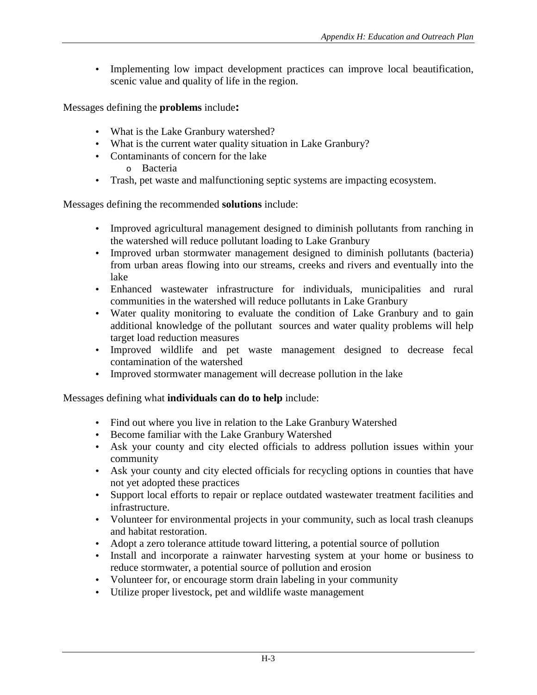• Implementing low impact development practices can improve local beautification, scenic value and quality of life in the region.

Messages defining the **problems** include**:** 

- What is the Lake Granbury watershed?
- What is the current water quality situation in Lake Granbury?
- Contaminants of concern for the lake
	- o Bacteria
- Trash, pet waste and malfunctioning septic systems are impacting ecosystem.

Messages defining the recommended **solutions** include:

- Improved agricultural management designed to diminish pollutants from ranching in the watershed will reduce pollutant loading to Lake Granbury
- Improved urban stormwater management designed to diminish pollutants (bacteria) from urban areas flowing into our streams, creeks and rivers and eventually into the lake
- Enhanced wastewater infrastructure for individuals, municipalities and rural communities in the watershed will reduce pollutants in Lake Granbury
- Water quality monitoring to evaluate the condition of Lake Granbury and to gain additional knowledge of the pollutant sources and water quality problems will help target load reduction measures
- Improved wildlife and pet waste management designed to decrease fecal contamination of the watershed
- Improved stormwater management will decrease pollution in the lake

Messages defining what **individuals can do to help** include:

- Find out where you live in relation to the Lake Granbury Watershed
- Become familiar with the Lake Granbury Watershed
- Ask your county and city elected officials to address pollution issues within your community
- Ask your county and city elected officials for recycling options in counties that have not yet adopted these practices
- Support local efforts to repair or replace outdated wastewater treatment facilities and infrastructure.
- Volunteer for environmental projects in your community, such as local trash cleanups and habitat restoration.
- Adopt a zero tolerance attitude toward littering, a potential source of pollution
- Install and incorporate a rainwater harvesting system at your home or business to reduce stormwater, a potential source of pollution and erosion
- Volunteer for, or encourage storm drain labeling in your community
- Utilize proper livestock, pet and wildlife waste management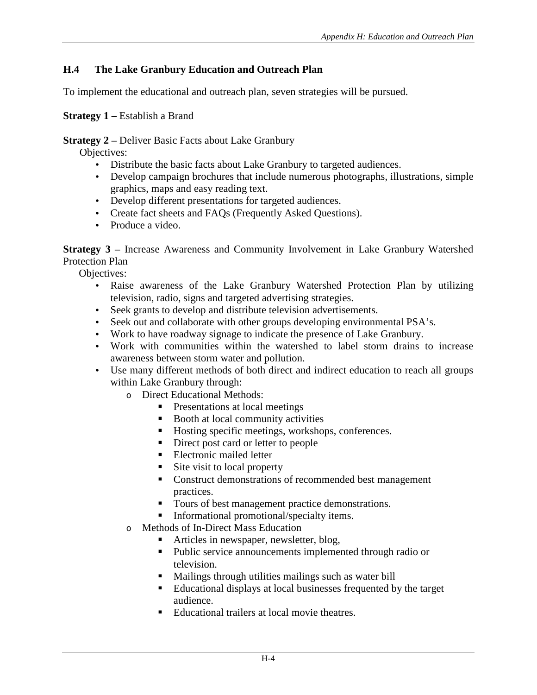# **H.4 The Lake Granbury Education and Outreach Plan**

To implement the educational and outreach plan, seven strategies will be pursued.

**Strategy 1 – Establish a Brand** 

**Strategy 2 –** Deliver Basic Facts about Lake Granbury

Objectives:

- Distribute the basic facts about Lake Granbury to targeted audiences.
- Develop campaign brochures that include numerous photographs, illustrations, simple graphics, maps and easy reading text.
- Develop different presentations for targeted audiences.
- Create fact sheets and FAQs (Frequently Asked Questions).
- Produce a video.

**Strategy 3 –** Increase Awareness and Community Involvement in Lake Granbury Watershed Protection Plan

Objectives:

- Raise awareness of the Lake Granbury Watershed Protection Plan by utilizing television, radio, signs and targeted advertising strategies.
- Seek grants to develop and distribute television advertisements.
- Seek out and collaborate with other groups developing environmental PSA's.
- Work to have roadway signage to indicate the presence of Lake Granbury.
- Work with communities within the watershed to label storm drains to increase awareness between storm water and pollution.
- Use many different methods of both direct and indirect education to reach all groups within Lake Granbury through:
	- o Direct Educational Methods:
		- **•** Presentations at local meetings
		- **Booth at local community activities**
		- **Hosting specific meetings, workshops, conferences.**
		- Direct post card or letter to people
		- **Electronic mailed letter**
		- -Site visit to local property
		- **Construct demonstrations of recommended best management** practices.
		- $\blacksquare$  Tours of best management practice demonstrations.
		- **Informational promotional/specialty items.**
	- o Methods of In-Direct Mass Education
		- -Articles in newspaper, newsletter, blog,
		- Public service announcements implemented through radio or television.
		- Mailings through utilities mailings such as water bill
		- Educational displays at local businesses frequented by the target audience.
		- -Educational trailers at local movie theatres.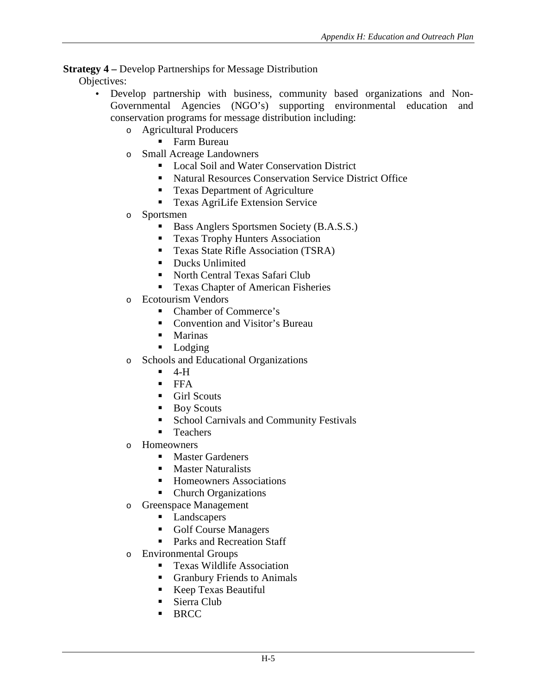### **Strategy 4 –** Develop Partnerships for Message Distribution

Objectives:

- Develop partnership with business, community based organizations and Non-Governmental Agencies (NGO's) supporting environmental education and conservation programs for message distribution including:
	- o Agricultural Producers
		- Farm Bureau
	- o Small Acreage Landowners
		- **Local Soil and Water Conservation District**
		- Natural Resources Conservation Service District Office
		- **Texas Department of Agriculture**
		- **Texas AgriLife Extension Service**
	- o Sportsmen
		- -Bass Anglers Sportsmen Society (B.A.S.S.)
		- -Texas Trophy Hunters Association
		- **Texas State Rifle Association (TSRA)**
		- **-** Ducks Unlimited
		- **-** North Central Texas Safari Club
		- **Texas Chapter of American Fisheries**
	- o Ecotourism Vendors
		- Chamber of Commerce's
		- **Convention and Visitor's Bureau**
		- Marinas
		- Lodging
	- o Schools and Educational Organizations
		- -4-H
		- FFA
		- **-** Girl Scouts
		- -Boy Scouts
		- -School Carnivals and Community Festivals
		- -Teachers
	- o Homeowners
		- **-** Master Gardeners
		- -Master Naturalists
		- **Homeowners Associations**
		- Church Organizations
	- o Greenspace Management
		- **Landscapers**
		- **Golf Course Managers**
		- **Parks and Recreation Staff**
	- o Environmental Groups
		- **Texas Wildlife Association**
		- **Granbury Friends to Animals**
		- -Keep Texas Beautiful
		- Sierra Club
		- -**BRCC**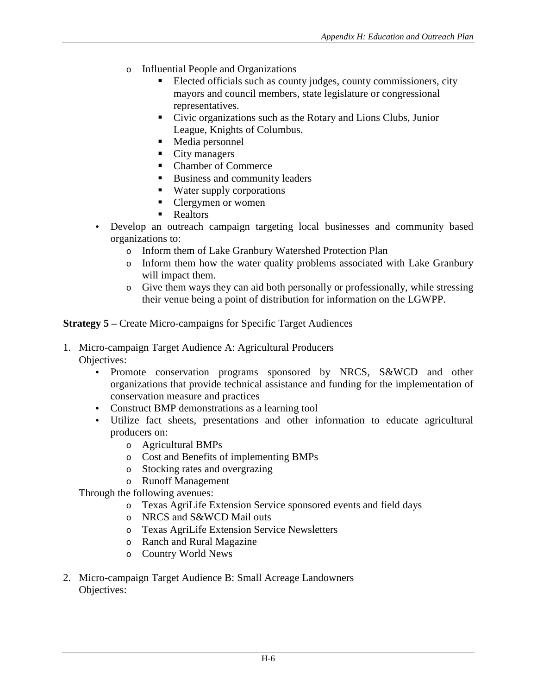- o Influential People and Organizations
	- - Elected officials such as county judges, county commissioners, city mayors and council members, state legislature or congressional representatives.
	- Civic organizations such as the Rotary and Lions Clubs, Junior League, Knights of Columbus.
	- Media personnel
	- City managers
	- Chamber of Commerce
	- **EXECUTE:** Business and community leaders
	- Water supply corporations
	- Clergymen or women
	- Realtors
- Develop an outreach campaign targeting local businesses and community based organizations to:
	- o Inform them of Lake Granbury Watershed Protection Plan
	- o Inform them how the water quality problems associated with Lake Granbury will impact them.
	- o Give them ways they can aid both personally or professionally, while stressing their venue being a point of distribution for information on the LGWPP.

**Strategy 5 –** Create Micro-campaigns for Specific Target Audiences

- 1. Micro-campaign Target Audience A: Agricultural Producers Objectives:
	- Promote conservation programs sponsored by NRCS, S&WCD and other organizations that provide technical assistance and funding for the implementation of conservation measure and practices
	- Construct BMP demonstrations as a learning tool
	- Utilize fact sheets, presentations and other information to educate agricultural producers on:
		- o Agricultural BMPs
		- o Cost and Benefits of implementing BMPs
		- o Stocking rates and overgrazing
		- o Runoff Management

Through the following avenues:

- o Texas AgriLife Extension Service sponsored events and field days
- o NRCS and S&WCD Mail outs
- o Texas AgriLife Extension Service Newsletters
- o Ranch and Rural Magazine
- o Country World News
- 2. Micro-campaign Target Audience B: Small Acreage Landowners Objectives: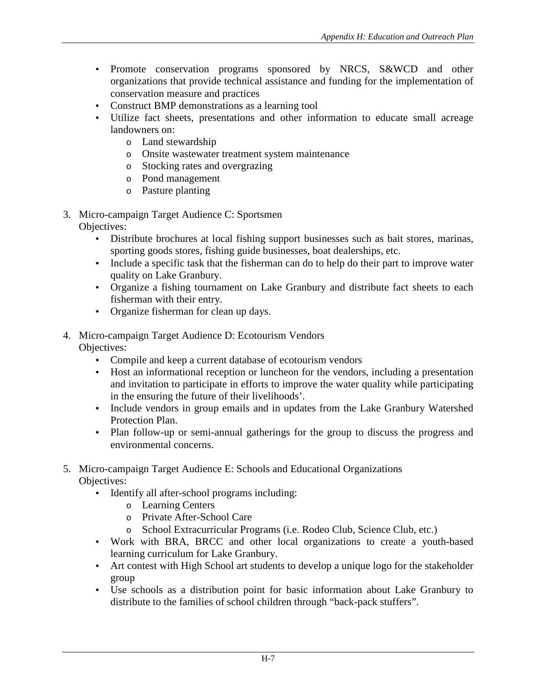- Promote conservation programs sponsored by NRCS, S&WCD and other organizations that provide technical assistance and funding for the implementation of conservation measure and practices
- Construct BMP demonstrations as a learning tool
- Utilize fact sheets, presentations and other information to educate small acreage landowners on:
	- o Land stewardship
	- o Onsite wastewater treatment system maintenance
	- o Stocking rates and overgrazing
	- o Pond management
	- o Pasture planting
- 3. Micro-campaign Target Audience C: Sportsmen Objectives:
	- Distribute brochures at local fishing support businesses such as bait stores, marinas, sporting goods stores, fishing guide businesses, boat dealerships, etc.
	- Include a specific task that the fisherman can do to help do their part to improve water quality on Lake Granbury.
	- Organize a fishing tournament on Lake Granbury and distribute fact sheets to each fisherman with their entry.
	- Organize fisherman for clean up days.
- 4. Micro-campaign Target Audience D: Ecotourism Vendors Objectives:
	- Compile and keep a current database of ecotourism vendors
	- Host an informational reception or luncheon for the vendors, including a presentation and invitation to participate in efforts to improve the water quality while participating in the ensuring the future of their livelihoods'.
	- Include vendors in group emails and in updates from the Lake Granbury Watershed Protection Plan.
	- Plan follow-up or semi-annual gatherings for the group to discuss the progress and environmental concerns.
- 5. Micro-campaign Target Audience E: Schools and Educational Organizations Objectives:
	- Identify all after-school programs including:
		- o Learning Centers
		- o Private After-School Care
		- o School Extracurricular Programs (i.e. Rodeo Club, Science Club, etc.)
	- Work with BRA, BRCC and other local organizations to create a youth-based learning curriculum for Lake Granbury.
	- Art contest with High School art students to develop a unique logo for the stakeholder group
	- Use schools as a distribution point for basic information about Lake Granbury to distribute to the families of school children through "back-pack stuffers".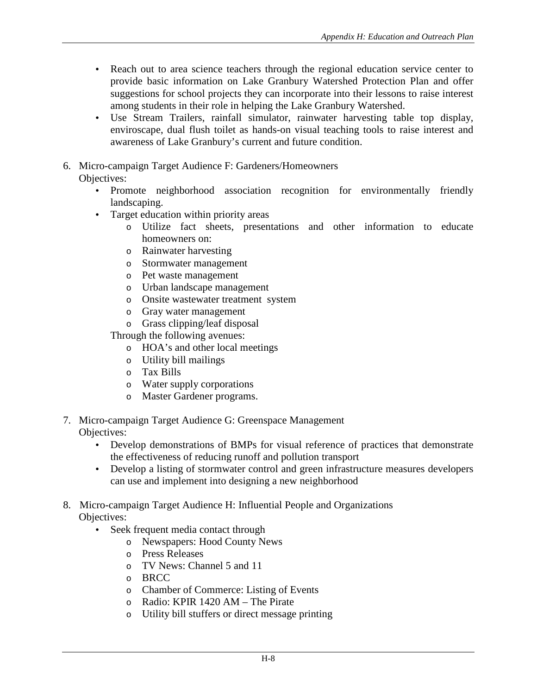- Reach out to area science teachers through the regional education service center to provide basic information on Lake Granbury Watershed Protection Plan and offer suggestions for school projects they can incorporate into their lessons to raise interest among students in their role in helping the Lake Granbury Watershed.
- Use Stream Trailers, rainfall simulator, rainwater harvesting table top display, enviroscape, dual flush toilet as hands-on visual teaching tools to raise interest and awareness of Lake Granbury's current and future condition.
- 6. Micro-campaign Target Audience F: Gardeners/Homeowners Objectives:
	- Promote neighborhood association recognition for environmentally friendly landscaping.
	- Target education within priority areas
		- o Utilize fact sheets, presentations and other information to educate homeowners on:
		- o Rainwater harvesting
		- o Stormwater management
		- o Pet waste management
		- o Urban landscape management
		- o Onsite wastewater treatment system
		- o Gray water management
		- o Grass clipping/leaf disposal

Through the following avenues:

- o HOA's and other local meetings
- o Utility bill mailings
- o Tax Bills
- o Water supply corporations
- o Master Gardener programs.
- 7. Micro-campaign Target Audience G: Greenspace Management Objectives:
	- Develop demonstrations of BMPs for visual reference of practices that demonstrate the effectiveness of reducing runoff and pollution transport
	- Develop a listing of stormwater control and green infrastructure measures developers can use and implement into designing a new neighborhood

#### 8. Micro-campaign Target Audience H: Influential People and Organizations Objectives:

- Seek frequent media contact through
	- o Newspapers: Hood County News
	- o Press Releases
	- o TV News: Channel 5 and 11
	- o BRCC
	- o Chamber of Commerce: Listing of Events
	- o Radio: KPIR 1420 AM The Pirate
	- o Utility bill stuffers or direct message printing